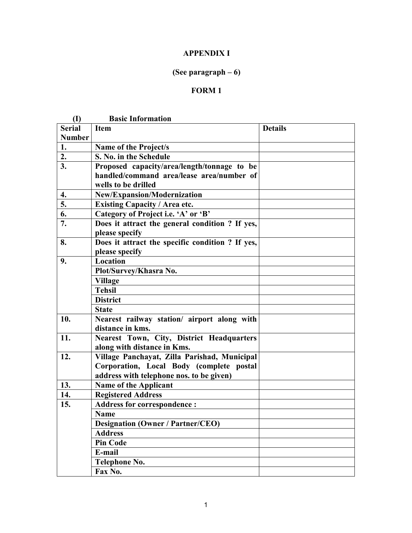## APPENDIX I

# (See paragraph – 6)

## FORM 1

| (I)           | <b>Basic Information</b>                         |                |
|---------------|--------------------------------------------------|----------------|
| <b>Serial</b> | <b>Item</b>                                      | <b>Details</b> |
| <b>Number</b> |                                                  |                |
| 1.            | <b>Name of the Project/s</b>                     |                |
| 2.            | S. No. in the Schedule                           |                |
| 3.            | Proposed capacity/area/length/tonnage to be      |                |
|               | handled/command area/lease area/number of        |                |
|               | wells to be drilled                              |                |
| 4.            | New/Expansion/Modernization                      |                |
| 5.            | <b>Existing Capacity / Area etc.</b>             |                |
| 6.            | Category of Project i.e. 'A' or 'B'              |                |
| 7.            | Does it attract the general condition ? If yes,  |                |
|               | please specify                                   |                |
| 8.            | Does it attract the specific condition ? If yes, |                |
|               | please specify                                   |                |
| 9.            | Location                                         |                |
|               | Plot/Survey/Khasra No.                           |                |
|               | <b>Village</b>                                   |                |
|               | <b>Tehsil</b>                                    |                |
|               | <b>District</b>                                  |                |
|               | <b>State</b>                                     |                |
| 10.           | Nearest railway station/ airport along with      |                |
|               | distance in kms.                                 |                |
| 11.           | Nearest Town, City, District Headquarters        |                |
|               | along with distance in Kms.                      |                |
| 12.           | Village Panchayat, Zilla Parishad, Municipal     |                |
|               | Corporation, Local Body (complete postal         |                |
|               | address with telephone nos. to be given)         |                |
| 13.           | <b>Name of the Applicant</b>                     |                |
| 14.           | <b>Registered Address</b>                        |                |
| 15.           | <b>Address for correspondence:</b>               |                |
|               | <b>Name</b>                                      |                |
|               | <b>Designation (Owner / Partner/CEO)</b>         |                |
|               | <b>Address</b>                                   |                |
|               | <b>Pin Code</b>                                  |                |
|               | E-mail                                           |                |
|               | <b>Telephone No.</b>                             |                |
|               | Fax No.                                          |                |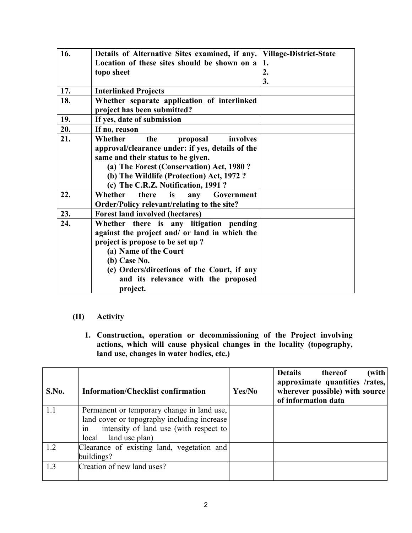| 16. | Details of Alternative Sites examined, if any.   Village-District-State |    |
|-----|-------------------------------------------------------------------------|----|
|     | Location of these sites should be shown on a                            | 1. |
|     | topo sheet                                                              | 2. |
|     |                                                                         | 3. |
| 17. | <b>Interlinked Projects</b>                                             |    |
| 18. | Whether separate application of interlinked                             |    |
|     | project has been submitted?                                             |    |
| 19. | If yes, date of submission                                              |    |
| 20. | If no, reason                                                           |    |
| 21. | Whether<br>involves<br>the<br>proposal                                  |    |
|     | approval/clearance under: if yes, details of the                        |    |
|     | same and their status to be given.                                      |    |
|     | (a) The Forest (Conservation) Act, 1980?                                |    |
|     | (b) The Wildlife (Protection) Act, 1972?                                |    |
|     | (c) The C.R.Z. Notification, 1991?                                      |    |
| 22. | Whether<br>there<br>is<br>Government<br>any                             |    |
|     | Order/Policy relevant/relating to the site?                             |    |
| 23. | <b>Forest land involved (hectares)</b>                                  |    |
| 24. | Whether there is any litigation pending                                 |    |
|     | against the project and/ or land in which the                           |    |
|     | project is propose to be set up?                                        |    |
|     | (a) Name of the Court                                                   |    |
|     | (b) Case No.                                                            |    |
|     | (c) Orders/directions of the Court, if any                              |    |
|     | and its relevance with the proposed                                     |    |
|     | project.                                                                |    |

## (II) Activity

1. Construction, operation or decommissioning of the Project involving actions, which will cause physical changes in the locality (topography, land use, changes in water bodies, etc.)

| S.No. | <b>Information/Checklist confirmation</b>    | Yes/No | thereof<br>(with  <br><b>Details</b><br>approximate quantities /rates,<br>wherever possible) with source<br>of information data |
|-------|----------------------------------------------|--------|---------------------------------------------------------------------------------------------------------------------------------|
| 1.1   | Permanent or temporary change in land use,   |        |                                                                                                                                 |
|       | land cover or topography including increase  |        |                                                                                                                                 |
|       | intensity of land use (with respect to<br>1n |        |                                                                                                                                 |
|       | land use plan)<br>local                      |        |                                                                                                                                 |
| 1.2   | Clearance of existing land, vegetation and   |        |                                                                                                                                 |
|       | buildings?                                   |        |                                                                                                                                 |
| 1.3   | Creation of new land uses?                   |        |                                                                                                                                 |
|       |                                              |        |                                                                                                                                 |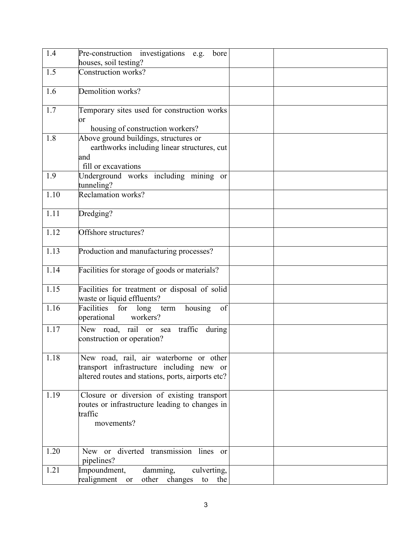| 1.4  | Pre-construction investigations e.g.<br>bore                                                                                              |  |
|------|-------------------------------------------------------------------------------------------------------------------------------------------|--|
|      | houses, soil testing?                                                                                                                     |  |
| 1.5  | Construction works?                                                                                                                       |  |
| 1.6  | Demolition works?                                                                                                                         |  |
| 1.7  | Temporary sites used for construction works<br>$\alpha$<br>housing of construction workers?                                               |  |
| 1.8  | Above ground buildings, structures or<br>earthworks including linear structures, cut<br>and<br>fill or excavations                        |  |
| 1.9  | Underground works including mining or<br>tunneling?                                                                                       |  |
| 1.10 | <b>Reclamation works?</b>                                                                                                                 |  |
| 1.11 | Dredging?                                                                                                                                 |  |
| 1.12 | Offshore structures?                                                                                                                      |  |
| 1.13 | Production and manufacturing processes?                                                                                                   |  |
| 1.14 | Facilities for storage of goods or materials?                                                                                             |  |
| 1.15 | Facilities for treatment or disposal of solid<br>waste or liquid effluents?                                                               |  |
| 1.16 | Facilities<br>for<br>long term<br>housing<br>of<br>workers?<br>operational                                                                |  |
| 1.17 | New road, rail or sea traffic<br>during<br>construction or operation?                                                                     |  |
| 1.18 | New road, rail, air waterborne or other<br>transport infrastructure including new or<br>altered routes and stations, ports, airports etc? |  |
| 1.19 | Closure or diversion of existing transport<br>routes or infrastructure leading to changes in<br>traffic<br>movements?                     |  |
| 1.20 | New or diverted transmission lines or<br>pipelines?                                                                                       |  |
| 1.21 | Impoundment,<br>damming,<br>culverting,<br>realignment<br>other changes<br>or<br>the<br>to                                                |  |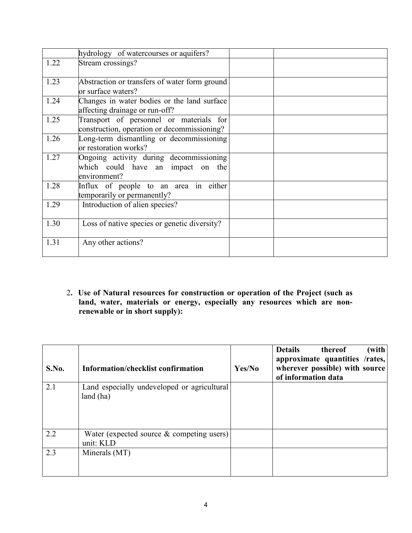|      | hydrology of watercourses or aquifers?                                                       |  |
|------|----------------------------------------------------------------------------------------------|--|
| 1.22 | Stream crossings?                                                                            |  |
| 1.23 | Abstraction or transfers of water form ground<br>or surface waters?                          |  |
| 1.24 | Changes in water bodies or the land surface<br>affecting drainage or run-off?                |  |
| 1.25 | Transport of personnel or materials for<br>construction, operation or decommissioning?       |  |
| 1.26 | Long-term dismantling or decommissioning<br>or restoration works?                            |  |
| 1.27 | Ongoing activity during decommissioning<br>which could have an impact on the<br>environment? |  |
| 1.28 | Influx of people to an area in either<br>temporarily or permanently?                         |  |
| 1.29 | Introduction of alien species?                                                               |  |
| 1.30 | Loss of native species or genetic diversity?                                                 |  |
| 1.31 | Any other actions?                                                                           |  |

2. Use of Natural resources for construction or operation of the Project (such as land, water, materials or energy, especially any resources which are nonrenewable or in short supply):

| S.No. | Information/checklist confirmation                        | Yes/No | (with<br><b>Details</b><br>thereof<br>approximate quantities /rates,<br>wherever possible) with source<br>of information data |
|-------|-----------------------------------------------------------|--------|-------------------------------------------------------------------------------------------------------------------------------|
| 2.1   | Land especially undeveloped or agricultural<br>land (ha)  |        |                                                                                                                               |
| 2.2   | Water (expected source $\&$ competing users)<br>unit: KLD |        |                                                                                                                               |
| 2.3   | Minerals (MT)                                             |        |                                                                                                                               |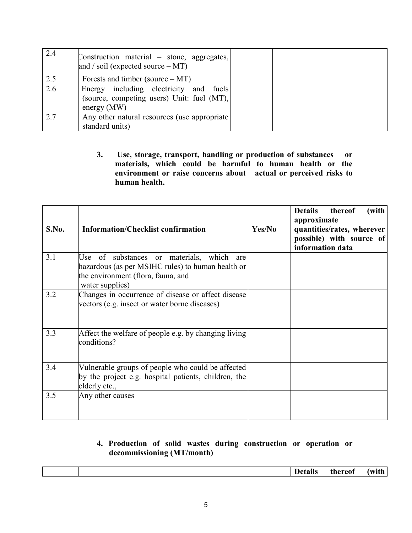| 2.4 | Construction material – stone, aggregates,<br>and / soil (expected source $-MT$ )                        |  |
|-----|----------------------------------------------------------------------------------------------------------|--|
| 2.5 | Forests and timber (source $- MT$ )                                                                      |  |
| 2.6 | Energy including electricity and fuels<br>(source, competing users) Unit: fuel $(MT)$ ,<br>energy $(MW)$ |  |
| 2.7 | Any other natural resources (use appropriate)<br>standard units)                                         |  |

3. Use, storage, transport, handling or production of substances or materials, which could be harmful to human health or the environment or raise concerns about actual or perceived risks to human health.

| S.No. | <b>Information/Checklist confirmation</b>                                                                                                                  | Yes/No | <b>Details</b><br>thereof<br>(with<br>approximate<br>quantities/rates, wherever<br>possible) with source of<br>information data |
|-------|------------------------------------------------------------------------------------------------------------------------------------------------------------|--------|---------------------------------------------------------------------------------------------------------------------------------|
| 3.1   | Use of substances or materials, which<br>are<br>hazardous (as per MSIHC rules) to human health or<br>the environment (flora, fauna, and<br>water supplies) |        |                                                                                                                                 |
| 3.2   | Changes in occurrence of disease or affect disease<br>vectors (e.g. insect or water borne diseases)                                                        |        |                                                                                                                                 |
| 3.3   | Affect the welfare of people e.g. by changing living<br>conditions?                                                                                        |        |                                                                                                                                 |
| 3.4   | Vulnerable groups of people who could be affected<br>by the project e.g. hospital patients, children, the<br>elderly etc.,                                 |        |                                                                                                                                 |
| 3.5   | Any other causes                                                                                                                                           |        |                                                                                                                                 |

#### 4. Production of solid wastes during construction or operation or decommissioning (MT/month)

|  | . .<br>.<br>ишх<br>the contract of the contract of the | :h<br>erreot<br>. <b>.</b> | .<br>$\cdot$ - $\cdot$ - $\cdot$ |
|--|--------------------------------------------------------|----------------------------|----------------------------------|
|  |                                                        |                            |                                  |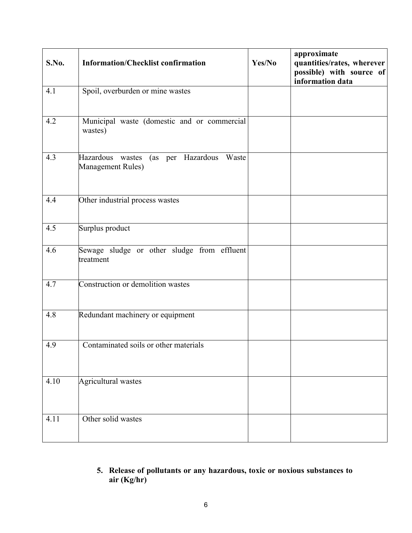| S.No. | <b>Information/Checklist confirmation</b>                           | Yes/No | approximate<br>quantities/rates, wherever<br>possible) with source of<br>information data |
|-------|---------------------------------------------------------------------|--------|-------------------------------------------------------------------------------------------|
| 4.1   | Spoil, overburden or mine wastes                                    |        |                                                                                           |
| 4.2   | Municipal waste (domestic and or commercial<br>wastes)              |        |                                                                                           |
| 4.3   | (as per Hazardous<br>Hazardous wastes<br>Waste<br>Management Rules) |        |                                                                                           |
| 4.4   | Other industrial process wastes                                     |        |                                                                                           |
| 4.5   | Surplus product                                                     |        |                                                                                           |
| 4.6   | Sewage sludge or other sludge from effluent<br>treatment            |        |                                                                                           |
| 4.7   | Construction or demolition wastes                                   |        |                                                                                           |
| 4.8   | Redundant machinery or equipment                                    |        |                                                                                           |
| 4.9   | Contaminated soils or other materials                               |        |                                                                                           |
| 4.10  | Agricultural wastes                                                 |        |                                                                                           |
| 4.11  | Other solid wastes                                                  |        |                                                                                           |

## 5. Release of pollutants or any hazardous, toxic or noxious substances to air (Kg/hr)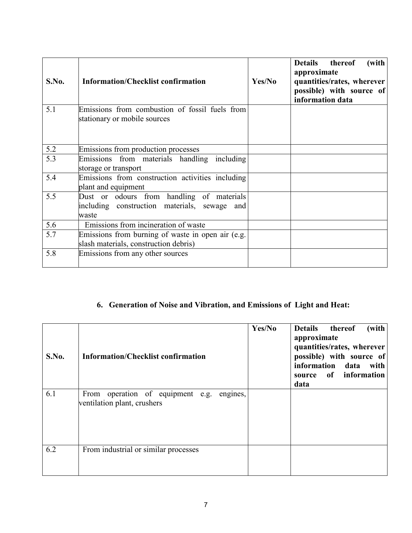| S.No. | <b>Information/Checklist confirmation</b>                                                          | Yes/No | Details thereof<br>(with<br>approximate<br>quantities/rates, wherever<br>possible) with source of<br>information data |
|-------|----------------------------------------------------------------------------------------------------|--------|-----------------------------------------------------------------------------------------------------------------------|
| 5.1   | Emissions from combustion of fossil fuels from<br>stationary or mobile sources                     |        |                                                                                                                       |
| 5.2   | Emissions from production processes                                                                |        |                                                                                                                       |
| 5.3   | Emissions from materials handling including<br>storage or transport                                |        |                                                                                                                       |
| 5.4   | Emissions from construction activities including<br>plant and equipment                            |        |                                                                                                                       |
| 5.5   | Dust or odours from handling of materials<br>including construction materials, sewage and<br>waste |        |                                                                                                                       |
| 5.6   | Emissions from incineration of waste                                                               |        |                                                                                                                       |
| 5.7   | Emissions from burning of waste in open air (e.g.<br>slash materials, construction debris)         |        |                                                                                                                       |
| 5.8   | Emissions from any other sources                                                                   |        |                                                                                                                       |

# 6. Generation of Noise and Vibration, and Emissions of Light and Heat:

| S.No. | <b>Information/Checklist confirmation</b>                                   | Yes/No | (with<br>Details thereof<br>approximate<br>quantities/rates, wherever<br>possible) with source of<br>information data with<br>source of information<br>data |
|-------|-----------------------------------------------------------------------------|--------|-------------------------------------------------------------------------------------------------------------------------------------------------------------|
| 6.1   | From operation of equipment e.g.<br>engines,<br>ventilation plant, crushers |        |                                                                                                                                                             |
| 6.2   | From industrial or similar processes                                        |        |                                                                                                                                                             |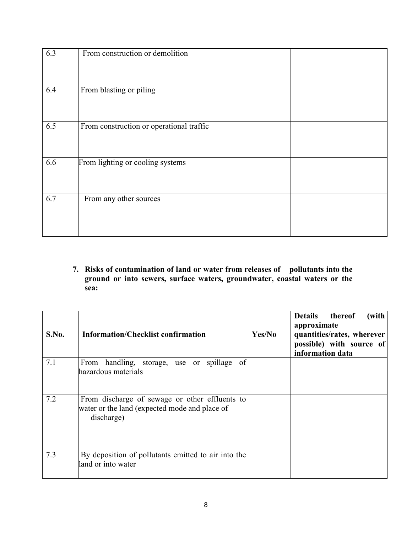| 6.3 | From construction or demolition          |  |
|-----|------------------------------------------|--|
| 6.4 | From blasting or piling                  |  |
| 6.5 | From construction or operational traffic |  |
| 6.6 | From lighting or cooling systems         |  |
| 6.7 | From any other sources                   |  |

7. Risks of contamination of land or water from releases of pollutants into the ground or into sewers, surface waters, groundwater, coastal waters or the sea:

| S.No. | <b>Information/Checklist confirmation</b>                                                                     | Yes/No | <b>Details</b><br>thereof<br>(with<br>approximate<br>quantities/rates, wherever<br>possible) with source of<br>information data |
|-------|---------------------------------------------------------------------------------------------------------------|--------|---------------------------------------------------------------------------------------------------------------------------------|
| 7.1   | spillage<br>handling, storage, use or<br>of<br>From<br>hazardous materials                                    |        |                                                                                                                                 |
| 7.2   | From discharge of sewage or other effluents to<br>water or the land (expected mode and place of<br>discharge) |        |                                                                                                                                 |
| 7.3   | By deposition of pollutants emitted to air into the<br>land or into water                                     |        |                                                                                                                                 |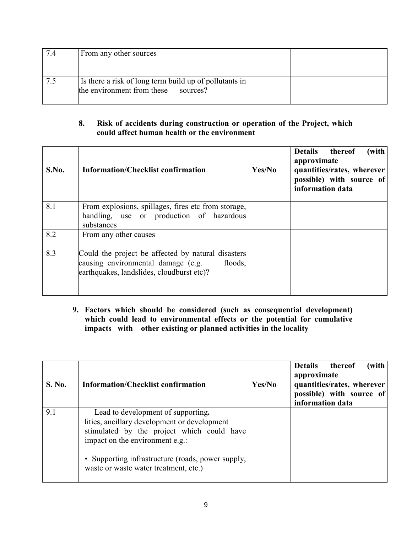| 7.4 | From any other sources                                                                        |  |
|-----|-----------------------------------------------------------------------------------------------|--|
|     |                                                                                               |  |
|     | Is there a risk of long term build up of pollutants in<br>the environment from these sources? |  |

## 8. Risk of accidents during construction or operation of the Project, which could affect human health or the environment

| S.No. | <b>Information/Checklist confirmation</b>                                                                                                        | Yes/No | (with<br><b>Details</b><br>thereof<br>approximate<br>quantities/rates, wherever<br>possible) with source of<br>information data |
|-------|--------------------------------------------------------------------------------------------------------------------------------------------------|--------|---------------------------------------------------------------------------------------------------------------------------------|
| 8.1   | From explosions, spillages, fires etc from storage,<br>handling, use or production of hazardous<br>substances                                    |        |                                                                                                                                 |
| 8.2   | From any other causes                                                                                                                            |        |                                                                                                                                 |
| 8.3   | Could the project be affected by natural disasters<br>causing environmental damage (e.g.<br>floods,<br>earthquakes, landslides, cloudburst etc)? |        |                                                                                                                                 |

9. Factors which should be considered (such as consequential development) which could lead to environmental effects or the potential for cumulative impacts with other existing or planned activities in the locality

| <b>S. No.</b> | <b>Information/Checklist confirmation</b>                                                                                                                           | Yes/No | Details thereof<br>(with<br>approximate<br>quantities/rates, wherever<br>possible) with source of<br>information data |
|---------------|---------------------------------------------------------------------------------------------------------------------------------------------------------------------|--------|-----------------------------------------------------------------------------------------------------------------------|
| 9.1           | Lead to development of supporting.<br>lities, ancillary development or development<br>stimulated by the project which could have<br>impact on the environment e.g.: |        |                                                                                                                       |
|               | • Supporting infrastructure (roads, power supply,<br>waste or waste water treatment, etc.)                                                                          |        |                                                                                                                       |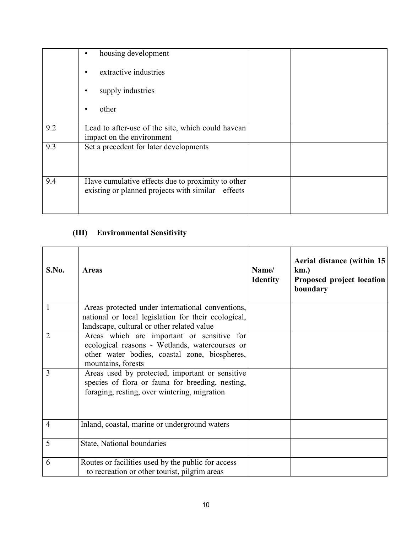|     | housing development                                                                                       |  |
|-----|-----------------------------------------------------------------------------------------------------------|--|
|     | extractive industries                                                                                     |  |
|     | supply industries<br>٠                                                                                    |  |
|     | other<br>٠                                                                                                |  |
| 9.2 | Lead to after-use of the site, which could have an<br>impact on the environment                           |  |
| 9.3 | Set a precedent for later developments                                                                    |  |
| 9.4 | Have cumulative effects due to proximity to other<br>existing or planned projects with similar<br>effects |  |

# (III) Environmental Sensitivity

| S.No.          | <b>Areas</b>                                                                                                                                                        | Name/<br><b>Identity</b> | Aerial distance (within 15)<br>$km.$ )<br>Proposed project location<br>boundary |
|----------------|---------------------------------------------------------------------------------------------------------------------------------------------------------------------|--------------------------|---------------------------------------------------------------------------------|
| 1              | Areas protected under international conventions,<br>national or local legislation for their ecological,<br>landscape, cultural or other related value               |                          |                                                                                 |
| 2              | Areas which are important or sensitive for<br>ecological reasons - Wetlands, watercourses or<br>other water bodies, coastal zone, biospheres,<br>mountains, forests |                          |                                                                                 |
| 3              | Areas used by protected, important or sensitive<br>species of flora or fauna for breeding, nesting,<br>foraging, resting, over wintering, migration                 |                          |                                                                                 |
| $\overline{4}$ | Inland, coastal, marine or underground waters                                                                                                                       |                          |                                                                                 |
| 5              | State, National boundaries                                                                                                                                          |                          |                                                                                 |
| 6              | Routes or facilities used by the public for access<br>to recreation or other tourist, pilgrim areas                                                                 |                          |                                                                                 |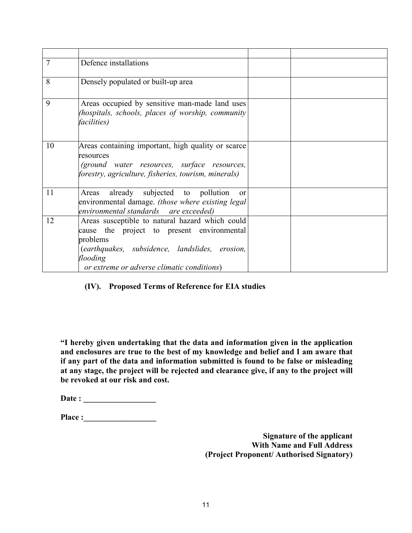| $\overline{7}$ | Defence installations                                                                                                                                                                                                 |  |
|----------------|-----------------------------------------------------------------------------------------------------------------------------------------------------------------------------------------------------------------------|--|
| 8              | Densely populated or built-up area                                                                                                                                                                                    |  |
| 9              | Areas occupied by sensitive man-made land uses<br>(hospitals, schools, places of worship, community<br><i>facilities</i> )                                                                                            |  |
| 10             | Areas containing important, high quality or scarce<br>resources<br>(ground water resources, surface resources,<br>forestry, agriculture, fisheries, tourism, minerals)                                                |  |
| 11             | Areas already subjected to pollution<br>$\alpha$<br>environmental damage. (those where existing legal<br>environmental standards are exceeded)                                                                        |  |
| 12             | Areas susceptible to natural hazard which could<br>cause the project to present environmental<br>problems<br>(earthquakes, subsidence, landslides, erosion,<br>flooding<br>or extreme or adverse climatic conditions) |  |

#### (IV). Proposed Terms of Reference for EIA studies

"I hereby given undertaking that the data and information given in the application and enclosures are true to the best of my knowledge and belief and I am aware that if any part of the data and information submitted is found to be false or misleading at any stage, the project will be rejected and clearance give, if any to the project will be revoked at our risk and cost.

| Date: |  |
|-------|--|
|       |  |

Place :\_\_\_\_\_\_\_\_\_\_\_\_\_\_\_\_\_\_

Signature of the applicant With Name and Full Address (Project Proponent/ Authorised Signatory)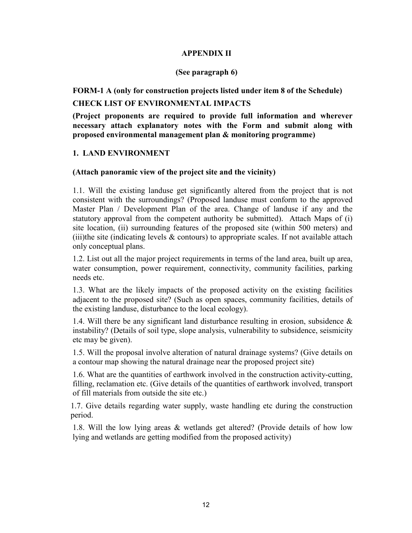#### APPENDIX II

#### (See paragraph 6)

FORM-1 A (only for construction projects listed under item 8 of the Schedule)

#### CHECK LIST OF ENVIRONMENTAL IMPACTS

(Project proponents are required to provide full information and wherever necessary attach explanatory notes with the Form and submit along with proposed environmental management plan & monitoring programme)

#### 1. LAND ENVIRONMENT

#### (Attach panoramic view of the project site and the vicinity)

 1.1. Will the existing landuse get significantly altered from the project that is not consistent with the surroundings? (Proposed landuse must conform to the approved Master Plan / Development Plan of the area. Change of landuse if any and the statutory approval from the competent authority be submitted). Attach Maps of (i) site location, (ii) surrounding features of the proposed site (within 500 meters) and (iii)the site (indicating levels  $\&$  contours) to appropriate scales. If not available attach only conceptual plans.

1.2. List out all the major project requirements in terms of the land area, built up area, water consumption, power requirement, connectivity, community facilities, parking needs etc.

1.3. What are the likely impacts of the proposed activity on the existing facilities adjacent to the proposed site? (Such as open spaces, community facilities, details of the existing landuse, disturbance to the local ecology).

1.4. Will there be any significant land disturbance resulting in erosion, subsidence  $\&$ instability? (Details of soil type, slope analysis, vulnerability to subsidence, seismicity etc may be given).

1.5. Will the proposal involve alteration of natural drainage systems? (Give details on a contour map showing the natural drainage near the proposed project site)

1.6. What are the quantities of earthwork involved in the construction activity-cutting, filling, reclamation etc. (Give details of the quantities of earthwork involved, transport of fill materials from outside the site etc.)

1.7. Give details regarding water supply, waste handling etc during the construction period.

1.8. Will the low lying areas & wetlands get altered? (Provide details of how low lying and wetlands are getting modified from the proposed activity)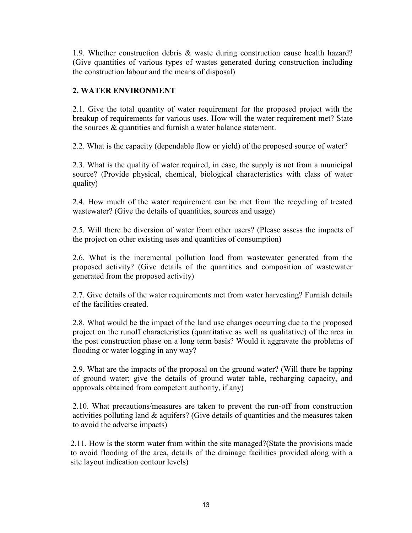1.9. Whether construction debris & waste during construction cause health hazard? (Give quantities of various types of wastes generated during construction including the construction labour and the means of disposal)

### 2. WATER ENVIRONMENT

2.1. Give the total quantity of water requirement for the proposed project with the breakup of requirements for various uses. How will the water requirement met? State the sources & quantities and furnish a water balance statement.

2.2. What is the capacity (dependable flow or yield) of the proposed source of water?

2.3. What is the quality of water required, in case, the supply is not from a municipal source? (Provide physical, chemical, biological characteristics with class of water quality)

2.4. How much of the water requirement can be met from the recycling of treated wastewater? (Give the details of quantities, sources and usage)

2.5. Will there be diversion of water from other users? (Please assess the impacts of the project on other existing uses and quantities of consumption)

2.6. What is the incremental pollution load from wastewater generated from the proposed activity? (Give details of the quantities and composition of wastewater generated from the proposed activity)

2.7. Give details of the water requirements met from water harvesting? Furnish details of the facilities created.

2.8. What would be the impact of the land use changes occurring due to the proposed project on the runoff characteristics (quantitative as well as qualitative) of the area in the post construction phase on a long term basis? Would it aggravate the problems of flooding or water logging in any way?

2.9. What are the impacts of the proposal on the ground water? (Will there be tapping of ground water; give the details of ground water table, recharging capacity, and approvals obtained from competent authority, if any)

2.10. What precautions/measures are taken to prevent the run-off from construction activities polluting land & aquifers? (Give details of quantities and the measures taken to avoid the adverse impacts)

2.11. How is the storm water from within the site managed?(State the provisions made to avoid flooding of the area, details of the drainage facilities provided along with a site layout indication contour levels)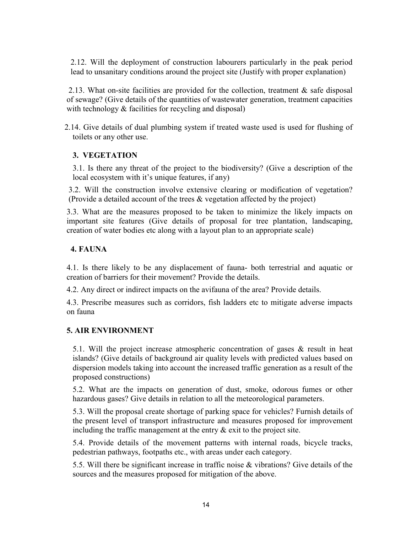2.12. Will the deployment of construction labourers particularly in the peak period lead to unsanitary conditions around the project site (Justify with proper explanation)

2.13. What on-site facilities are provided for the collection, treatment  $\&$  safe disposal of sewage? (Give details of the quantities of wastewater generation, treatment capacities with technology  $&$  facilities for recycling and disposal)

 2.14. Give details of dual plumbing system if treated waste used is used for flushing of toilets or any other use.

#### 3. VEGETATION

3.1. Is there any threat of the project to the biodiversity? (Give a description of the local ecosystem with it's unique features, if any)

3.2. Will the construction involve extensive clearing or modification of vegetation? (Provide a detailed account of the trees & vegetation affected by the project)

3.3. What are the measures proposed to be taken to minimize the likely impacts on important site features (Give details of proposal for tree plantation, landscaping, creation of water bodies etc along with a layout plan to an appropriate scale)

### 4. FAUNA

4.1. Is there likely to be any displacement of fauna- both terrestrial and aquatic or creation of barriers for their movement? Provide the details.

4.2. Any direct or indirect impacts on the avifauna of the area? Provide details.

4.3. Prescribe measures such as corridors, fish ladders etc to mitigate adverse impacts on fauna

#### 5. AIR ENVIRONMENT

5.1. Will the project increase atmospheric concentration of gases & result in heat islands? (Give details of background air quality levels with predicted values based on dispersion models taking into account the increased traffic generation as a result of the proposed constructions)

5.2. What are the impacts on generation of dust, smoke, odorous fumes or other hazardous gases? Give details in relation to all the meteorological parameters.

5.3. Will the proposal create shortage of parking space for vehicles? Furnish details of the present level of transport infrastructure and measures proposed for improvement including the traffic management at the entry  $\&$  exit to the project site.

5.4. Provide details of the movement patterns with internal roads, bicycle tracks, pedestrian pathways, footpaths etc., with areas under each category.

5.5. Will there be significant increase in traffic noise & vibrations? Give details of the sources and the measures proposed for mitigation of the above.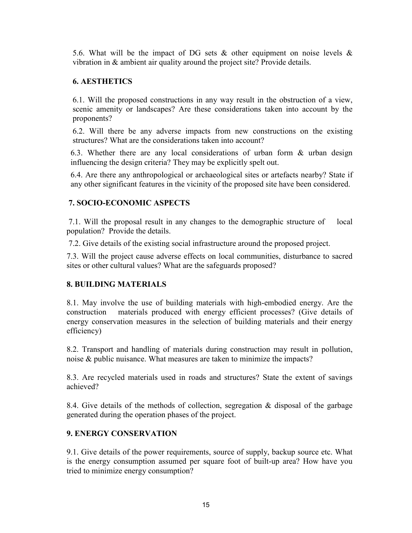5.6. What will be the impact of DG sets  $\&$  other equipment on noise levels  $\&$ vibration in & ambient air quality around the project site? Provide details.

### 6. AESTHETICS

6.1. Will the proposed constructions in any way result in the obstruction of a view, scenic amenity or landscapes? Are these considerations taken into account by the proponents?

6.2. Will there be any adverse impacts from new constructions on the existing structures? What are the considerations taken into account?

6.3. Whether there are any local considerations of urban form & urban design influencing the design criteria? They may be explicitly spelt out.

6.4. Are there any anthropological or archaeological sites or artefacts nearby? State if any other significant features in the vicinity of the proposed site have been considered.

#### 7. SOCIO-ECONOMIC ASPECTS

 7.1. Will the proposal result in any changes to the demographic structure of local population? Provide the details.

7.2. Give details of the existing social infrastructure around the proposed project.

7.3. Will the project cause adverse effects on local communities, disturbance to sacred sites or other cultural values? What are the safeguards proposed?

## 8. BUILDING MATERIALS

8.1. May involve the use of building materials with high-embodied energy. Are the construction materials produced with energy efficient processes? (Give details of energy conservation measures in the selection of building materials and their energy efficiency)

8.2. Transport and handling of materials during construction may result in pollution, noise & public nuisance. What measures are taken to minimize the impacts?

8.3. Are recycled materials used in roads and structures? State the extent of savings achieved?

8.4. Give details of the methods of collection, segregation & disposal of the garbage generated during the operation phases of the project.

## 9. ENERGY CONSERVATION

9.1. Give details of the power requirements, source of supply, backup source etc. What is the energy consumption assumed per square foot of built-up area? How have you tried to minimize energy consumption?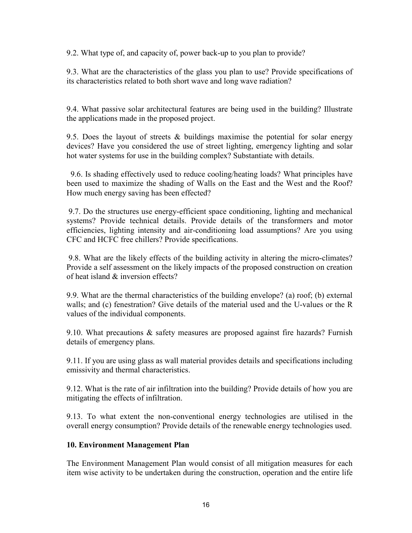9.2. What type of, and capacity of, power back-up to you plan to provide?

9.3. What are the characteristics of the glass you plan to use? Provide specifications of its characteristics related to both short wave and long wave radiation?

9.4. What passive solar architectural features are being used in the building? Illustrate the applications made in the proposed project.

9.5. Does the layout of streets  $\&$  buildings maximise the potential for solar energy devices? Have you considered the use of street lighting, emergency lighting and solar hot water systems for use in the building complex? Substantiate with details.

 9.6. Is shading effectively used to reduce cooling/heating loads? What principles have been used to maximize the shading of Walls on the East and the West and the Roof? How much energy saving has been effected?

 9.7. Do the structures use energy-efficient space conditioning, lighting and mechanical systems? Provide technical details. Provide details of the transformers and motor efficiencies, lighting intensity and air-conditioning load assumptions? Are you using CFC and HCFC free chillers? Provide specifications.

 9.8. What are the likely effects of the building activity in altering the micro-climates? Provide a self assessment on the likely impacts of the proposed construction on creation of heat island & inversion effects?

9.9. What are the thermal characteristics of the building envelope? (a) roof; (b) external walls; and (c) fenestration? Give details of the material used and the U-values or the R values of the individual components.

9.10. What precautions & safety measures are proposed against fire hazards? Furnish details of emergency plans.

9.11. If you are using glass as wall material provides details and specifications including emissivity and thermal characteristics.

9.12. What is the rate of air infiltration into the building? Provide details of how you are mitigating the effects of infiltration.

9.13. To what extent the non-conventional energy technologies are utilised in the overall energy consumption? Provide details of the renewable energy technologies used.

#### 10. Environment Management Plan

The Environment Management Plan would consist of all mitigation measures for each item wise activity to be undertaken during the construction, operation and the entire life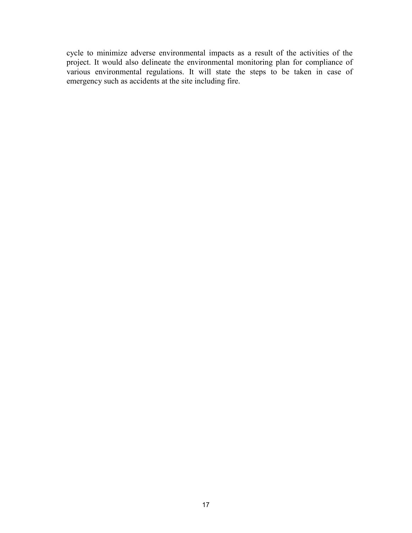cycle to minimize adverse environmental impacts as a result of the activities of the project. It would also delineate the environmental monitoring plan for compliance of various environmental regulations. It will state the steps to be taken in case of emergency such as accidents at the site including fire.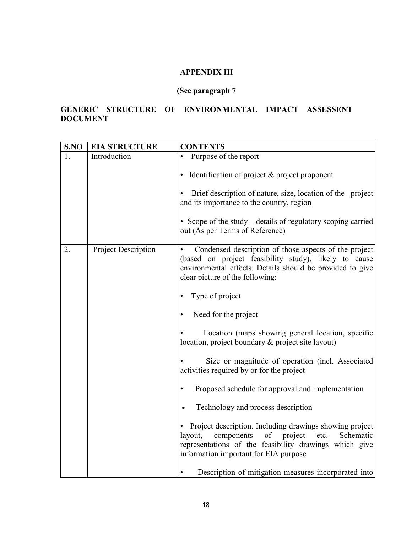## APPENDIX III

## (See paragraph 7

## GENERIC STRUCTURE OF ENVIRONMENTAL IMPACT ASSESSENT DOCUMENT

| S.NO | <b>EIA STRUCTURE</b>       | <b>CONTENTS</b>                                                                                                                                                                                                           |
|------|----------------------------|---------------------------------------------------------------------------------------------------------------------------------------------------------------------------------------------------------------------------|
|      | Introduction               | Purpose of the report                                                                                                                                                                                                     |
|      |                            | Identification of project $\&$ project proponent                                                                                                                                                                          |
|      |                            | Brief description of nature, size, location of the project<br>and its importance to the country, region                                                                                                                   |
|      |                            | • Scope of the study – details of regulatory scoping carried<br>out (As per Terms of Reference)                                                                                                                           |
| 2.   | <b>Project Description</b> | Condensed description of those aspects of the project<br>(based on project feasibility study), likely to cause<br>environmental effects. Details should be provided to give<br>clear picture of the following:            |
|      |                            | Type of project                                                                                                                                                                                                           |
|      |                            | Need for the project                                                                                                                                                                                                      |
|      |                            | Location (maps showing general location, specific<br>location, project boundary & project site layout)                                                                                                                    |
|      |                            | Size or magnitude of operation (incl. Associated<br>activities required by or for the project                                                                                                                             |
|      |                            | Proposed schedule for approval and implementation                                                                                                                                                                         |
|      |                            | Technology and process description                                                                                                                                                                                        |
|      |                            | Project description. Including drawings showing project<br>components<br>layout,<br>of<br>project<br>etc.<br>Schematic<br>representations of the feasibility drawings which give<br>information important for EIA purpose |
|      |                            | Description of mitigation measures incorporated into                                                                                                                                                                      |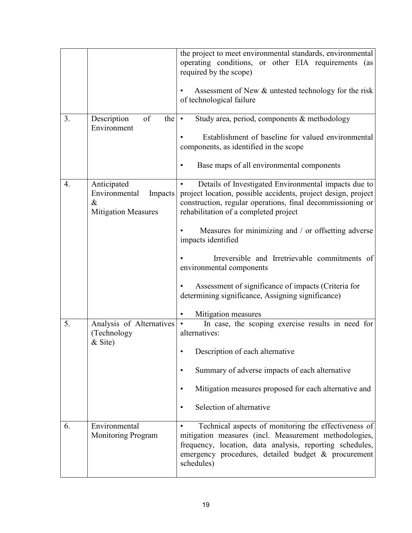|                  |                                                                               | the project to meet environmental standards, environmental<br>operating conditions, or other EIA requirements (as<br>required by the scope)<br>Assessment of New & untested technology for the risk<br>of technological failure                |
|------------------|-------------------------------------------------------------------------------|------------------------------------------------------------------------------------------------------------------------------------------------------------------------------------------------------------------------------------------------|
| 3.               | Description<br>of<br>the $\cdot$<br>Environment                               | Study area, period, components & methodology<br>Establishment of baseline for valued environmental<br>components, as identified in the scope                                                                                                   |
|                  |                                                                               | Base maps of all environmental components<br>٠                                                                                                                                                                                                 |
| $\overline{4}$ . | Anticipated<br>Environmental<br>Impacts<br>$\&$<br><b>Mitigation Measures</b> | Details of Investigated Environmental impacts due to<br>project location, possible accidents, project design, project<br>construction, regular operations, final decommissioning or<br>rehabilitation of a completed project                   |
|                  |                                                                               | Measures for minimizing and / or offsetting adverse<br>impacts identified                                                                                                                                                                      |
|                  |                                                                               | Irreversible and Irretrievable commitments of<br>environmental components                                                                                                                                                                      |
|                  |                                                                               | Assessment of significance of impacts (Criteria for<br>determining significance, Assigning significance)                                                                                                                                       |
|                  |                                                                               | Mitigation measures                                                                                                                                                                                                                            |
| 5.               | Analysis of Alternatives<br>(Technology<br>& Site)                            | In case, the scoping exercise results in need for<br>$\bullet$<br>alternatives:                                                                                                                                                                |
|                  |                                                                               | Description of each alternative                                                                                                                                                                                                                |
|                  |                                                                               | Summary of adverse impacts of each alternative<br>٠                                                                                                                                                                                            |
|                  |                                                                               | Mitigation measures proposed for each alternative and<br>٠                                                                                                                                                                                     |
|                  |                                                                               | Selection of alternative<br>٠                                                                                                                                                                                                                  |
| 6.               | Environmental<br><b>Monitoring Program</b>                                    | Technical aspects of monitoring the effectiveness of<br>mitigation measures (incl. Measurement methodologies,<br>frequency, location, data analysis, reporting schedules,<br>emergency procedures, detailed budget & procurement<br>schedules) |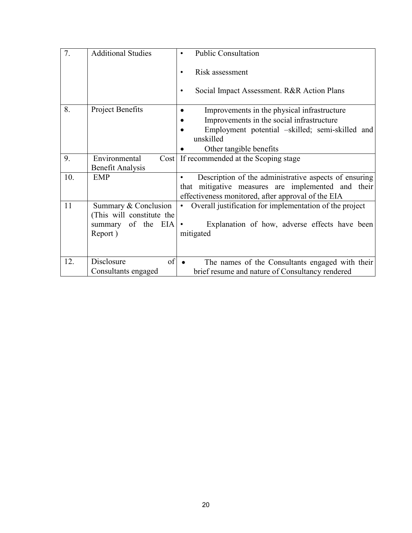| 7.  | <b>Additional Studies</b> |                                                                      |
|-----|---------------------------|----------------------------------------------------------------------|
|     |                           | <b>Public Consultation</b>                                           |
|     |                           |                                                                      |
|     |                           | Risk assessment                                                      |
|     |                           |                                                                      |
|     |                           | Social Impact Assessment. R&R Action Plans                           |
|     |                           |                                                                      |
| 8.  | <b>Project Benefits</b>   |                                                                      |
|     |                           | Improvements in the physical infrastructure                          |
|     |                           | Improvements in the social infrastructure                            |
|     |                           | Employment potential –skilled; semi-skilled and                      |
|     |                           | unskilled                                                            |
|     |                           | Other tangible benefits                                              |
|     |                           |                                                                      |
| 9.  | Environmental             | Cost If recommended at the Scoping stage                             |
|     | <b>Benefit Analysis</b>   |                                                                      |
| 10. | <b>EMP</b>                | Description of the administrative aspects of ensuring                |
|     |                           | that mitigative measures are implemented and their                   |
|     |                           | effectiveness monitored, after approval of the EIA                   |
| 11  | Summary & Conclusion      | Overall justification for implementation of the project<br>$\bullet$ |
|     | (This will constitute the |                                                                      |
|     |                           |                                                                      |
|     | summary of the EIA        | Explanation of how, adverse effects have been                        |
|     | Report)                   | mitigated                                                            |
|     |                           |                                                                      |
|     |                           |                                                                      |
| 12. | Disclosure<br>of          |                                                                      |
|     |                           | The names of the Consultants engaged with their                      |
|     | Consultants engaged       | brief resume and nature of Consultancy rendered                      |